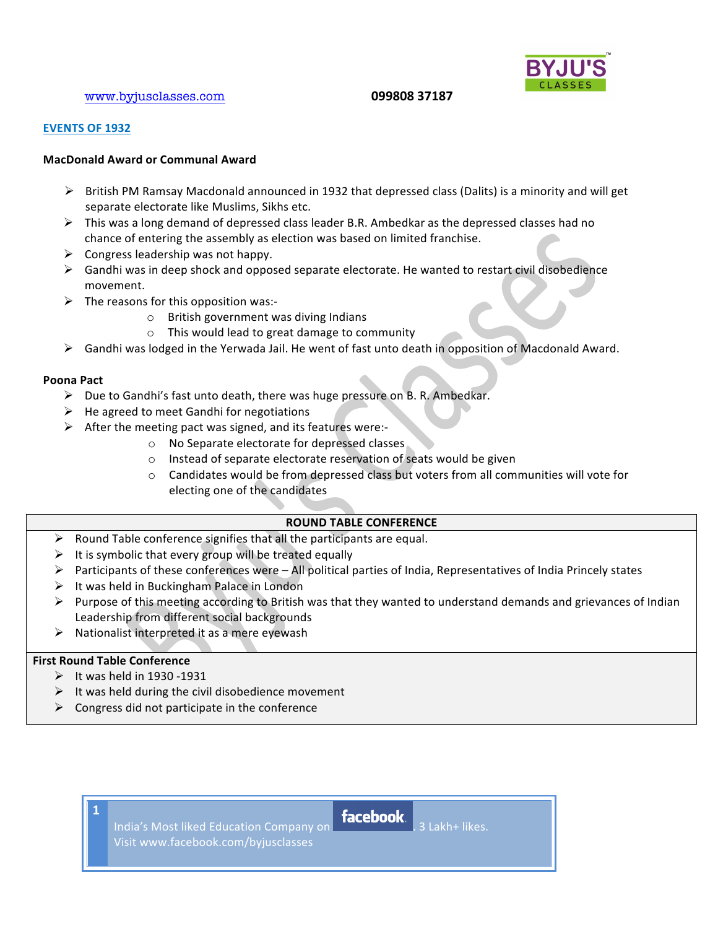## www.byjusclasses.com !!!!!!!!!!!!!!!!!!!!!!!!!!!!!!!!!!!!!!!!!!**!!!099808!37187!!!!!!!!!!!!!!!!!!!!!**



## **EVENTS!OF!1932**

## **MacDonald!Award!or!Communal!Award**

- $\triangleright$  British PM Ramsay Macdonald announced in 1932 that depressed class (Dalits) is a minority and will get separate electorate like Muslims, Sikhs etc.
- $\triangleright$  This was a long demand of depressed class leader B.R. Ambedkar as the depressed classes had no chance of entering the assembly as election was based on limited franchise.
- $\triangleright$  Congress leadership was not happy.
- $\triangleright$  Gandhi was in deep shock and opposed separate electorate. He wanted to restart civil disobedience movement.
- $\triangleright$  The reasons for this opposition was:-
	- $\circ$  British government was diving Indians
	- o This would lead to great damage to community
- $\triangleright$  Gandhi was lodged in the Yerwada Jail. He went of fast unto death in opposition of Macdonald Award.

## **Poona Pact**

- $\triangleright$  Due to Gandhi's fast unto death, there was huge pressure on B. R. Ambedkar.
- $\triangleright$  He agreed to meet Gandhi for negotiations
- $\triangleright$  After the meeting pact was signed, and its features were:
	- o No Separate electorate for depressed classes
	- $\circ$  Instead of separate electorate reservation of seats would be given
	- $\circ$  Candidates would be from depressed class but voters from all communities will vote for electing one of the candidates

## **ROUND TABLE CONFERENCE**

- $\triangleright$  Round Table conference signifies that all the participants are equal.
- $\triangleright$  It is symbolic that every group will be treated equally
- $\triangleright$  Participants of these conferences were All political parties of India, Representatives of India Princely states
- $\triangleright$  It was held in Buckingham Palace in London
- $\triangleright$  Purpose of this meeting according to British was that they wanted to understand demands and grievances of Indian Leadership from different social backgrounds
- $\triangleright$  Nationalist interpreted it as a mere eyewash

## **First Round Table Conference**

- $\triangleright$  It was held in 1930 -1931
- $\triangleright$  It was held during the civil disobedience movement
- $\triangleright$  Congress did not participate in the conference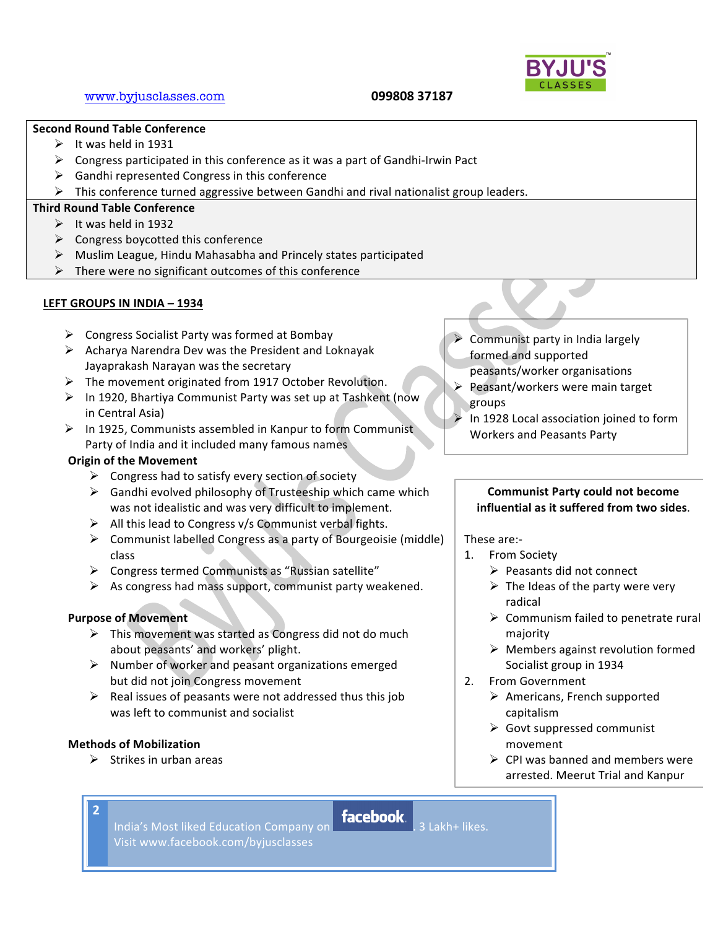## **Second!Round!Table!Conference**

- $\triangleright$  It was held in 1931
- $\triangleright$  Congress participated in this conference as it was a part of Gandhi-Irwin Pact
- $\triangleright$  Gandhi represented Congress in this conference
- $\triangleright$  This conference turned aggressive between Gandhi and rival nationalist group leaders.

## **Third!Round!Table!Conference**

- $\triangleright$  It was held in 1932
- $\triangleright$  Congress boycotted this conference
- $\triangleright$  Muslim League, Hindu Mahasabha and Princely states participated
- $\triangleright$  There were no significant outcomes of this conference

#### **LEFT!GROUPS!IN!INDIA!– 1934**

- $\triangleright$  Congress Socialist Party was formed at Bombay
- $\triangleright$  Acharya Narendra Dev was the President and Loknayak Jayaprakash Narayan was the secretary
- $\triangleright$  The movement originated from 1917 October Revolution.
- $\triangleright$  In 1920, Bhartiya Communist Party was set up at Tashkent (now in Central Asia)
- $\triangleright$  In 1925, Communists assembled in Kanpur to form Communist Party of India and it included many famous names

## **Origin of the Movement**

- $\triangleright$  Congress had to satisfy every section of society
- $\triangleright$  Gandhi evolved philosophy of Trusteeship which came which was not idealistic and was very difficult to implement.
- $\triangleright$  All this lead to Congress v/s Communist verbal fights.
- $\triangleright$  Communist labelled Congress as a party of Bourgeoisie (middle) class
- $\triangleright$  Congress termed Communists as "Russian satellite"
- $\triangleright$  As congress had mass support, communist party weakened.

## **Purpose of Movement**

- $\triangleright$  This movement was started as Congress did not do much about peasants' and workers' plight.
- $\triangleright$  Number of worker and peasant organizations emerged but did not join Congress movement
- $\triangleright$  Real issues of peasants were not addressed thus this job was left to communist and socialist

#### **Methods!of!Mobilization**

**2**

 $\triangleright$  Strikes in urban areas

- -
- India's Most liked Education Company on **facebook**. . 3 Lakh+ likes. Visit!www.facebook.com/byjusclasses
- $\triangleright$  Communist party in India largely formed and supported
- peasants/worker organisations
- $\triangleright$  Peasant/workers were main target groups
- In 1928 Local association joined to form Workers and Peasants Party

## **Communist Party could not become influential as it suffered from two sides.**

These are:-

- 1. From Society
	- $\triangleright$  Peasants did not connect
	- $\triangleright$  The Ideas of the party were very radical
	- $\triangleright$  Communism failed to penetrate rural majority
	- $\triangleright$  Members against revolution formed Socialist group in 1934
- 2. From Government
	- $\triangleright$  Americans, French supported capitalism
	- $\triangleright$  Govt suppressed communist movement
	- $\triangleright$  CPI was banned and members were arrested. Meerut Trial and Kanpur

Traillean the two famous trails.

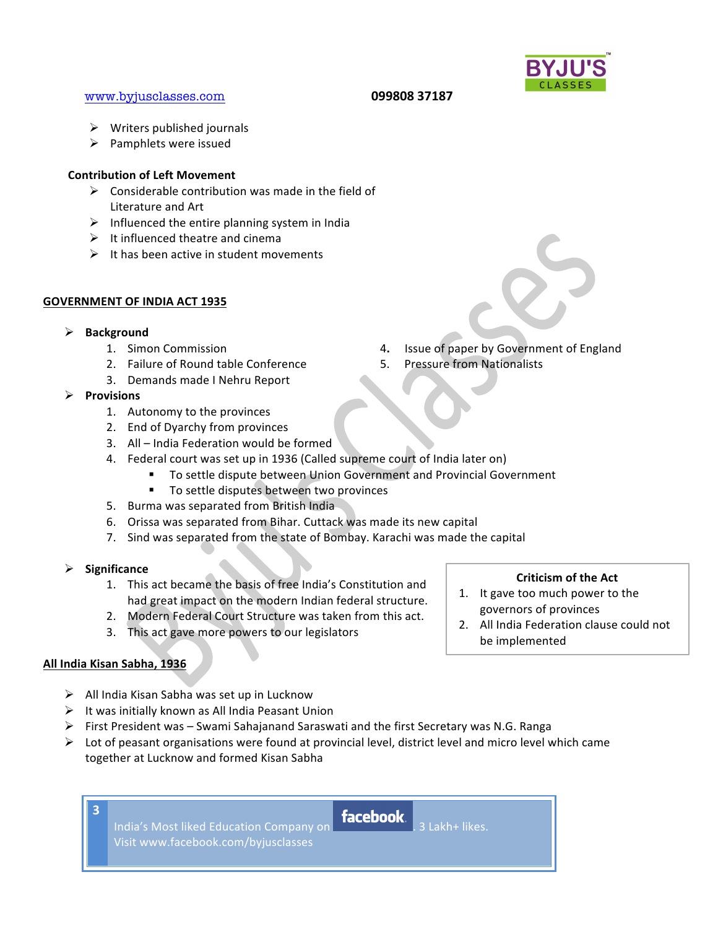## www.byjusclasses.com **099808 37187**

- $\triangleright$  Writers published journals
- $\triangleright$  Pamphlets were issued

## **Contribution of Left Movement**

- $\triangleright$  Considerable contribution was made in the field of Literature and Art
- $\triangleright$  Influenced the entire planning system in India
- $\triangleright$  It influenced theatre and cinema
- $\triangleright$  It has been active in student movements

## **GOVERNMENT OF INDIA ACT 1935**

- ! **Background**
	-
	- 2. Failure of Round table Conference 5. Pressure from Nationalists
	- 3. Demands made I Nehru Report
- ! **Provisions!**
	- 1. Autonomy to the provinces
	- 2. End of Dyarchy from provinces
	- 3. All India Federation would be formed
	- 4. Federal court was set up in 1936 (Called supreme court of India later on)
		- To settle dispute between Union Government and Provincial Government
		- " To settle disputes between two provinces
	- 5. Burma was separated from British India
	- 6. Orissa was separated from Bihar. Cuttack was made its new capital
	- 7. Sind was separated from the state of Bombay. Karachi was made the capital
- ! **Significance**
	- 1. This act became the basis of free India's Constitution and had great impact on the modern Indian federal structure.
	- 2. Modern Federal Court Structure was taken from this act.
	- 3. This act gave more powers to our legislators

## **All!India!Kisan!Sabha,!1936**

**3**

- $\triangleright$  All India Kisan Sabha was set up in Lucknow
- $\triangleright$  It was initially known as All India Peasant Union
- $\triangleright$  First President was Swami Sahajanand Saraswati and the first Secretary was N.G. Ranga
- $\triangleright$  Lot of peasant organisations were found at provincial level, district level and micro level which came together at Lucknow and formed Kisan Sabha
	- India's Most liked Education Company on **facebook**. . 3 Lakh+ likes. Visit!www.facebook.com/byjusclasses

# 1. Simon Commission **4.** Issue of paper by Government of England



- 1. It gave too much power to the governors of provinces
- 2. All India Federation clause could not be implemented